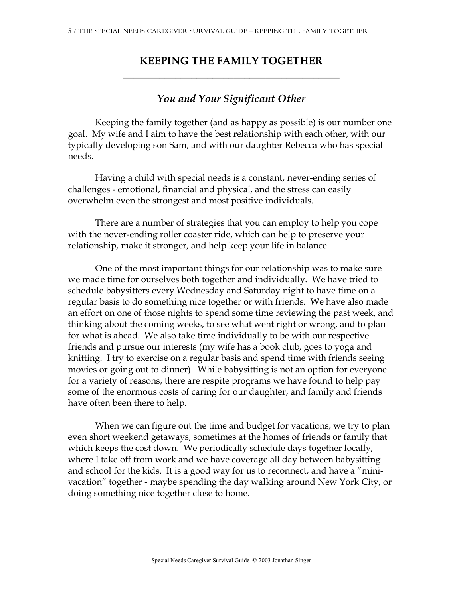## **KEEPING THE FAMILY TOGETHER \_\_\_\_\_\_\_\_\_\_\_\_\_\_\_\_\_\_\_\_\_\_\_\_\_\_\_\_\_\_\_\_\_\_\_\_\_\_\_\_\_**

## *You and Your Significant Other*

Keeping the family together (and as happy as possible) is our number one goal. My wife and I aim to have the best relationship with each other, with our typically developing son Sam, and with our daughter Rebecca who has special needs.

Having a child with special needs is a constant, never-ending series of challenges - emotional, financial and physical, and the stress can easily overwhelm even the strongest and most positive individuals.

There are a number of strategies that you can employ to help you cope with the never-ending roller coaster ride, which can help to preserve your relationship, make it stronger, and help keep your life in balance.

One of the most important things for our relationship was to make sure we made time for ourselves both together and individually. We have tried to schedule babysitters every Wednesday and Saturday night to have time on a regular basis to do something nice together or with friends. We have also made an effort on one of those nights to spend some time reviewing the past week, and thinking about the coming weeks, to see what went right or wrong, and to plan for what is ahead. We also take time individually to be with our respective friends and pursue our interests (my wife has a book club, goes to yoga and knitting. I try to exercise on a regular basis and spend time with friends seeing movies or going out to dinner). While babysitting is not an option for everyone for a variety of reasons, there are respite programs we have found to help pay some of the enormous costs of caring for our daughter, and family and friends have often been there to help.

When we can figure out the time and budget for vacations, we try to plan even short weekend getaways, sometimes at the homes of friends or family that which keeps the cost down. We periodically schedule days together locally, where I take off from work and we have coverage all day between babysitting and school for the kids. It is a good way for us to reconnect, and have a "minivacation" together - maybe spending the day walking around New York City, or doing something nice together close to home.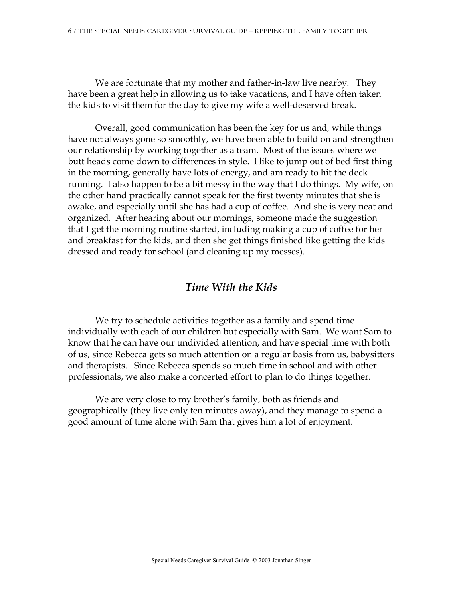We are fortunate that my mother and father-in-law live nearby. They have been a great help in allowing us to take vacations, and I have often taken the kids to visit them for the day to give my wife a well-deserved break.

Overall, good communication has been the key for us and, while things have not always gone so smoothly, we have been able to build on and strengthen our relationship by working together as a team. Most of the issues where we butt heads come down to differences in style. I like to jump out of bed first thing in the morning, generally have lots of energy, and am ready to hit the deck running. I also happen to be a bit messy in the way that I do things. My wife, on the other hand practically cannot speak for the first twenty minutes that she is awake, and especially until she has had a cup of coffee. And she is very neat and organized. After hearing about our mornings, someone made the suggestion that I get the morning routine started, including making a cup of coffee for her and breakfast for the kids, and then she get things finished like getting the kids dressed and ready for school (and cleaning up my messes).

## *Time With the Kids*

We try to schedule activities together as a family and spend time individually with each of our children but especially with Sam. We want Sam to know that he can have our undivided attention, and have special time with both of us, since Rebecca gets so much attention on a regular basis from us, babysitters and therapists. Since Rebecca spends so much time in school and with other professionals, we also make a concerted effort to plan to do things together.

We are very close to my brother's family, both as friends and geographically (they live only ten minutes away), and they manage to spend a good amount of time alone with Sam that gives him a lot of enjoyment.